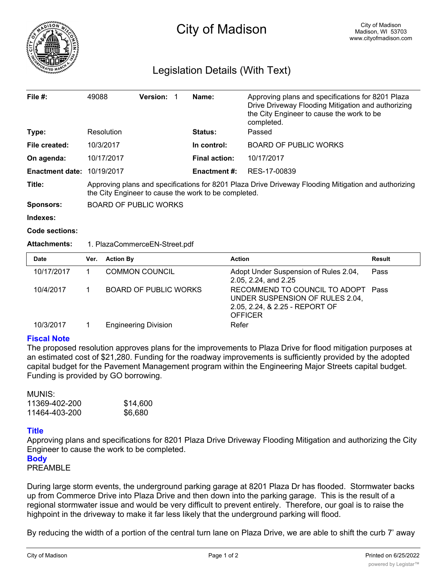

# Legislation Details (With Text)

| File $#$ :             | 49088                                                                                                                                                        | <b>Version:</b> |  | Name:                | Approving plans and specifications for 8201 Plaza<br>Drive Driveway Flooding Mitigation and authorizing<br>the City Engineer to cause the work to be<br>completed. |
|------------------------|--------------------------------------------------------------------------------------------------------------------------------------------------------------|-----------------|--|----------------------|--------------------------------------------------------------------------------------------------------------------------------------------------------------------|
| Type:                  | Resolution                                                                                                                                                   |                 |  | <b>Status:</b>       | Passed                                                                                                                                                             |
| File created:          | 10/3/2017                                                                                                                                                    |                 |  | In control:          | <b>BOARD OF PUBLIC WORKS</b>                                                                                                                                       |
| On agenda:             | 10/17/2017                                                                                                                                                   |                 |  | <b>Final action:</b> | 10/17/2017                                                                                                                                                         |
| <b>Enactment date:</b> | 10/19/2017                                                                                                                                                   |                 |  | <b>Enactment #:</b>  | RES-17-00839                                                                                                                                                       |
| Title:                 | Approving plans and specifications for 8201 Plaza Drive Driveway Flooding Mitigation and authorizing<br>the City Engineer to cause the work to be completed. |                 |  |                      |                                                                                                                                                                    |
| <b>Sponsors:</b>       | <b>BOARD OF PUBLIC WORKS</b>                                                                                                                                 |                 |  |                      |                                                                                                                                                                    |
| المتحدد والمتمال       |                                                                                                                                                              |                 |  |                      |                                                                                                                                                                    |

**Indexes:**

**Code sections:**

## **Attachments:** 1. PlazaCommerceEN-Street.pdf

| Date       | Ver. | <b>Action By</b>            | <b>Action</b>                                                                                                             | Result |
|------------|------|-----------------------------|---------------------------------------------------------------------------------------------------------------------------|--------|
| 10/17/2017 |      | <b>COMMON COUNCIL</b>       | Adopt Under Suspension of Rules 2.04,<br>2.05, 2.24, and 2.25                                                             | Pass   |
| 10/4/2017  |      | BOARD OF PUBLIC WORKS       | RECOMMEND TO COUNCIL TO ADOPT Pass<br>UNDER SUSPENSION OF RULES 2.04,<br>2.05, 2.24, & 2.25 - REPORT OF<br><b>OFFICER</b> |        |
| 10/3/2017  |      | <b>Engineering Division</b> | Refer                                                                                                                     |        |

# **Fiscal Note**

The proposed resolution approves plans for the improvements to Plaza Drive for flood mitigation purposes at an estimated cost of \$21,280. Funding for the roadway improvements is sufficiently provided by the adopted capital budget for the Pavement Management program within the Engineering Major Streets capital budget. Funding is provided by GO borrowing.

#### MUNIS:

| 11369-402-200 | \$14,600 |
|---------------|----------|
| 11464-403-200 | \$6,680  |

## **Title**

Approving plans and specifications for 8201 Plaza Drive Driveway Flooding Mitigation and authorizing the City Engineer to cause the work to be completed.

# **Body**

PREAMBLE

During large storm events, the underground parking garage at 8201 Plaza Dr has flooded. Stormwater backs up from Commerce Drive into Plaza Drive and then down into the parking garage. This is the result of a regional stormwater issue and would be very difficult to prevent entirely. Therefore, our goal is to raise the highpoint in the driveway to make it far less likely that the underground parking will flood.

By reducing the width of a portion of the central turn lane on Plaza Drive, we are able to shift the curb 7' away